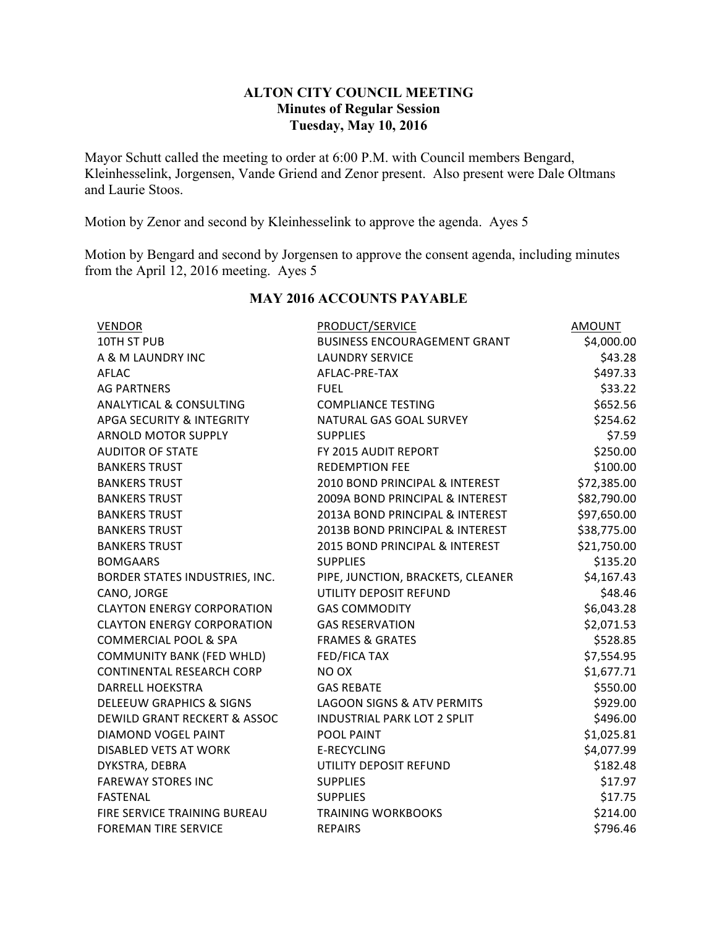## **ALTON CITY COUNCIL MEETING Minutes of Regular Session Tuesday, May 10, 2016**

Mayor Schutt called the meeting to order at 6:00 P.M. with Council members Bengard, Kleinhesselink, Jorgensen, Vande Griend and Zenor present. Also present were Dale Oltmans and Laurie Stoos.

Motion by Zenor and second by Kleinhesselink to approve the agenda. Ayes 5

Motion by Bengard and second by Jorgensen to approve the consent agenda, including minutes from the April 12, 2016 meeting. Ayes 5

| <b>VENDOR</b>                           | PRODUCT/SERVICE                       | <b>AMOUNT</b> |
|-----------------------------------------|---------------------------------------|---------------|
| 10TH ST PUB                             | <b>BUSINESS ENCOURAGEMENT GRANT</b>   | \$4,000.00    |
| A & M LAUNDRY INC                       | <b>LAUNDRY SERVICE</b>                | \$43.28       |
| AFLAC                                   | AFLAC-PRE-TAX                         | \$497.33      |
| <b>AG PARTNERS</b>                      | <b>FUEL</b>                           | \$33.22       |
| <b>ANALYTICAL &amp; CONSULTING</b>      | <b>COMPLIANCE TESTING</b>             | \$652.56      |
| APGA SECURITY & INTEGRITY               | NATURAL GAS GOAL SURVEY               | \$254.62      |
| <b>ARNOLD MOTOR SUPPLY</b>              | <b>SUPPLIES</b>                       | \$7.59        |
| <b>AUDITOR OF STATE</b>                 | FY 2015 AUDIT REPORT                  | \$250.00      |
| <b>BANKERS TRUST</b>                    | <b>REDEMPTION FEE</b>                 | \$100.00      |
| <b>BANKERS TRUST</b>                    | 2010 BOND PRINCIPAL & INTEREST        | \$72,385.00   |
| <b>BANKERS TRUST</b>                    | 2009A BOND PRINCIPAL & INTEREST       | \$82,790.00   |
| <b>BANKERS TRUST</b>                    | 2013A BOND PRINCIPAL & INTEREST       | \$97,650.00   |
| <b>BANKERS TRUST</b>                    | 2013B BOND PRINCIPAL & INTEREST       | \$38,775.00   |
| <b>BANKERS TRUST</b>                    | 2015 BOND PRINCIPAL & INTEREST        | \$21,750.00   |
| <b>BOMGAARS</b>                         | <b>SUPPLIES</b>                       | \$135.20      |
| BORDER STATES INDUSTRIES, INC.          | PIPE, JUNCTION, BRACKETS, CLEANER     | \$4,167.43    |
| CANO, JORGE                             | UTILITY DEPOSIT REFUND                | \$48.46       |
| <b>CLAYTON ENERGY CORPORATION</b>       | <b>GAS COMMODITY</b>                  | \$6,043.28    |
| <b>CLAYTON ENERGY CORPORATION</b>       | <b>GAS RESERVATION</b>                | \$2,071.53    |
| <b>COMMERCIAL POOL &amp; SPA</b>        | <b>FRAMES &amp; GRATES</b>            | \$528.85      |
| <b>COMMUNITY BANK (FED WHLD)</b>        | FED/FICA TAX                          | \$7,554.95    |
| <b>CONTINENTAL RESEARCH CORP</b>        | NO OX                                 | \$1,677.71    |
| <b>DARRELL HOEKSTRA</b>                 | <b>GAS REBATE</b>                     | \$550.00      |
| <b>DELEEUW GRAPHICS &amp; SIGNS</b>     | <b>LAGOON SIGNS &amp; ATV PERMITS</b> | \$929.00      |
| <b>DEWILD GRANT RECKERT &amp; ASSOC</b> | <b>INDUSTRIAL PARK LOT 2 SPLIT</b>    | \$496.00      |
| DIAMOND VOGEL PAINT                     | POOL PAINT                            | \$1,025.81    |
| <b>DISABLED VETS AT WORK</b>            | <b>E-RECYCLING</b>                    | \$4,077.99    |
| DYKSTRA, DEBRA                          | UTILITY DEPOSIT REFUND                | \$182.48      |
| <b>FAREWAY STORES INC</b>               | <b>SUPPLIES</b>                       | \$17.97       |
| <b>FASTENAL</b>                         | <b>SUPPLIES</b>                       | \$17.75       |
| FIRE SERVICE TRAINING BUREAU            | <b>TRAINING WORKBOOKS</b>             | \$214.00      |
| <b>FOREMAN TIRE SERVICE</b>             | <b>REPAIRS</b>                        | \$796.46      |

### **MAY 2016 ACCOUNTS PAYABLE**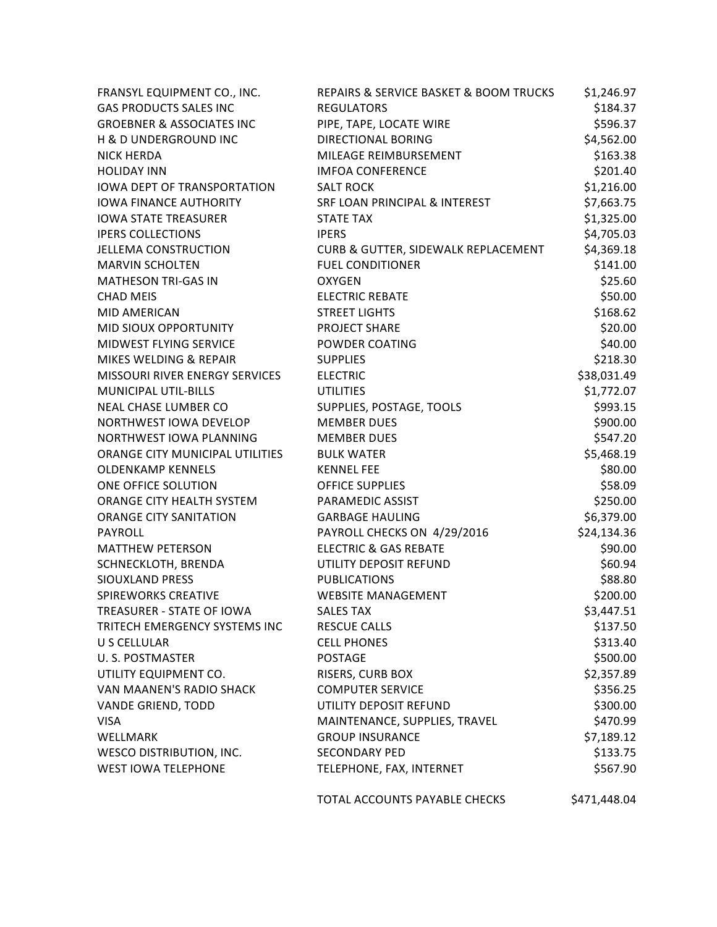| FRANSYL EQUIPMENT CO., INC.          | REPAIRS & SERVICE BASKET & BOOM TRUCKS | \$1,246.97   |
|--------------------------------------|----------------------------------------|--------------|
| <b>GAS PRODUCTS SALES INC</b>        | <b>REGULATORS</b>                      | \$184.37     |
| <b>GROEBNER &amp; ASSOCIATES INC</b> | PIPE, TAPE, LOCATE WIRE                | \$596.37     |
| H & D UNDERGROUND INC                | <b>DIRECTIONAL BORING</b>              | \$4,562.00   |
| <b>NICK HERDA</b>                    | MILEAGE REIMBURSEMENT                  | \$163.38     |
| <b>HOLIDAY INN</b>                   | <b>IMFOA CONFERENCE</b>                | \$201.40     |
| IOWA DEPT OF TRANSPORTATION          | <b>SALT ROCK</b>                       | \$1,216.00   |
| <b>IOWA FINANCE AUTHORITY</b>        | SRF LOAN PRINCIPAL & INTEREST          | \$7,663.75   |
| <b>IOWA STATE TREASURER</b>          | <b>STATE TAX</b>                       | \$1,325.00   |
| <b>IPERS COLLECTIONS</b>             | <b>IPERS</b>                           | \$4,705.03   |
| <b>JELLEMA CONSTRUCTION</b>          | CURB & GUTTER, SIDEWALK REPLACEMENT    | \$4,369.18   |
| <b>MARVIN SCHOLTEN</b>               | <b>FUEL CONDITIONER</b>                | \$141.00     |
| <b>MATHESON TRI-GAS IN</b>           | <b>OXYGEN</b>                          | \$25.60      |
| <b>CHAD MEIS</b>                     | <b>ELECTRIC REBATE</b>                 | \$50.00      |
| MID AMERICAN                         | <b>STREET LIGHTS</b>                   | \$168.62     |
| MID SIOUX OPPORTUNITY                | PROJECT SHARE                          | \$20.00      |
| MIDWEST FLYING SERVICE               | POWDER COATING                         | \$40.00      |
| MIKES WELDING & REPAIR               | <b>SUPPLIES</b>                        | \$218.30     |
| MISSOURI RIVER ENERGY SERVICES       | <b>ELECTRIC</b>                        | \$38,031.49  |
| <b>MUNICIPAL UTIL-BILLS</b>          | <b>UTILITIES</b>                       | \$1,772.07   |
| NEAL CHASE LUMBER CO                 | SUPPLIES, POSTAGE, TOOLS               | \$993.15     |
| NORTHWEST IOWA DEVELOP               | <b>MEMBER DUES</b>                     | \$900.00     |
| NORTHWEST IOWA PLANNING              | <b>MEMBER DUES</b>                     | \$547.20     |
| ORANGE CITY MUNICIPAL UTILITIES      | <b>BULK WATER</b>                      | \$5,468.19   |
| <b>OLDENKAMP KENNELS</b>             | <b>KENNEL FEE</b>                      | \$80.00      |
| ONE OFFICE SOLUTION                  | <b>OFFICE SUPPLIES</b>                 | \$58.09      |
| ORANGE CITY HEALTH SYSTEM            | PARAMEDIC ASSIST                       | \$250.00     |
| <b>ORANGE CITY SANITATION</b>        | <b>GARBAGE HAULING</b>                 | \$6,379.00   |
| PAYROLL                              | PAYROLL CHECKS ON 4/29/2016            | \$24,134.36  |
| <b>MATTHEW PETERSON</b>              | <b>ELECTRIC &amp; GAS REBATE</b>       | \$90.00      |
| SCHNECKLOTH, BRENDA                  | UTILITY DEPOSIT REFUND                 | \$60.94      |
| <b>SIOUXLAND PRESS</b>               | <b>PUBLICATIONS</b>                    | \$88.80      |
| <b>SPIREWORKS CREATIVE</b>           | <b>WEBSITE MANAGEMENT</b>              | \$200.00     |
| TREASURER - STATE OF IOWA            | <b>SALES TAX</b>                       | \$3,447.51   |
| TRITECH EMERGENCY SYSTEMS INC        | <b>RESCUE CALLS</b>                    | \$137.50     |
| U S CELLULAR                         | <b>CELL PHONES</b>                     | \$313.40     |
| U.S. POSTMASTER                      | <b>POSTAGE</b>                         | \$500.00     |
| UTILITY EQUIPMENT CO.                | RISERS, CURB BOX                       | \$2,357.89   |
| VAN MAANEN'S RADIO SHACK             | <b>COMPUTER SERVICE</b>                | \$356.25     |
| <b>VANDE GRIEND, TODD</b>            | UTILITY DEPOSIT REFUND                 | \$300.00     |
| <b>VISA</b>                          | MAINTENANCE, SUPPLIES, TRAVEL          | \$470.99     |
| WELLMARK                             | <b>GROUP INSURANCE</b>                 | \$7,189.12   |
| <b>WESCO DISTRIBUTION, INC.</b>      | <b>SECONDARY PED</b>                   | \$133.75     |
| <b>WEST IOWA TELEPHONE</b>           | TELEPHONE, FAX, INTERNET               | \$567.90     |
|                                      | TOTAL ACCOUNTS PAYABLE CHECKS          | \$471,448.04 |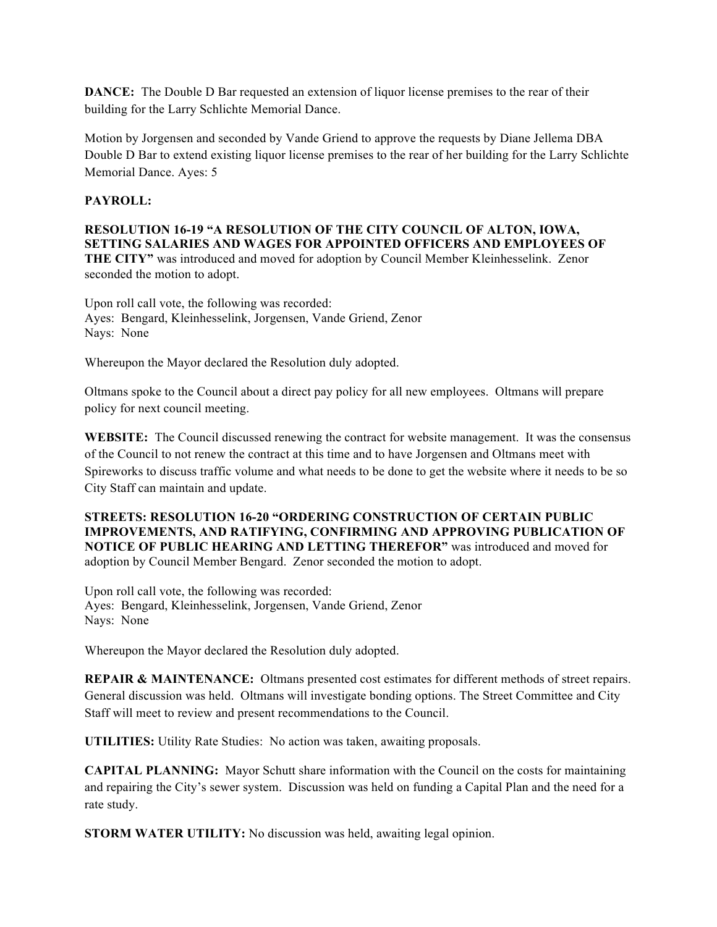**DANCE:** The Double D Bar requested an extension of liquor license premises to the rear of their building for the Larry Schlichte Memorial Dance.

Motion by Jorgensen and seconded by Vande Griend to approve the requests by Diane Jellema DBA Double D Bar to extend existing liquor license premises to the rear of her building for the Larry Schlichte Memorial Dance. Ayes: 5

#### **PAYROLL:**

**RESOLUTION 16-19 "A RESOLUTION OF THE CITY COUNCIL OF ALTON, IOWA, SETTING SALARIES AND WAGES FOR APPOINTED OFFICERS AND EMPLOYEES OF THE CITY"** was introduced and moved for adoption by Council Member Kleinhesselink. Zenor seconded the motion to adopt.

Upon roll call vote, the following was recorded: Ayes: Bengard, Kleinhesselink, Jorgensen, Vande Griend, Zenor Nays: None

Whereupon the Mayor declared the Resolution duly adopted.

Oltmans spoke to the Council about a direct pay policy for all new employees. Oltmans will prepare policy for next council meeting.

**WEBSITE:** The Council discussed renewing the contract for website management. It was the consensus of the Council to not renew the contract at this time and to have Jorgensen and Oltmans meet with Spireworks to discuss traffic volume and what needs to be done to get the website where it needs to be so City Staff can maintain and update.

**STREETS: RESOLUTION 16-20 "ORDERING CONSTRUCTION OF CERTAIN PUBLIC IMPROVEMENTS, AND RATIFYING, CONFIRMING AND APPROVING PUBLICATION OF NOTICE OF PUBLIC HEARING AND LETTING THEREFOR"** was introduced and moved for adoption by Council Member Bengard. Zenor seconded the motion to adopt.

Upon roll call vote, the following was recorded: Ayes: Bengard, Kleinhesselink, Jorgensen, Vande Griend, Zenor Nays: None

Whereupon the Mayor declared the Resolution duly adopted.

**REPAIR & MAINTENANCE:** Oltmans presented cost estimates for different methods of street repairs. General discussion was held. Oltmans will investigate bonding options. The Street Committee and City Staff will meet to review and present recommendations to the Council.

**UTILITIES:** Utility Rate Studies: No action was taken, awaiting proposals.

**CAPITAL PLANNING:** Mayor Schutt share information with the Council on the costs for maintaining and repairing the City's sewer system. Discussion was held on funding a Capital Plan and the need for a rate study.

**STORM WATER UTILITY:** No discussion was held, awaiting legal opinion.